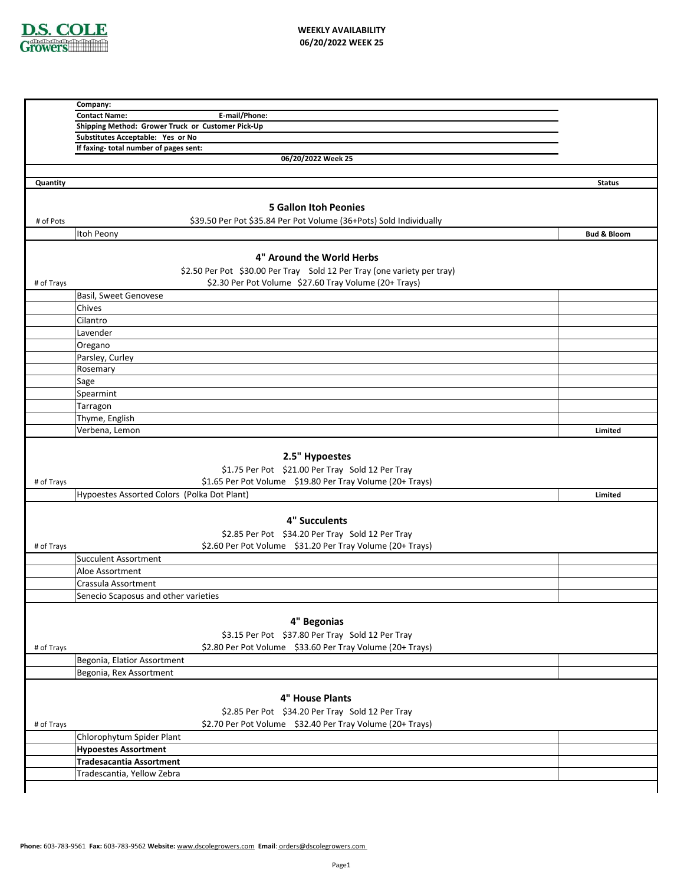

|            | Company:                                                                |                        |
|------------|-------------------------------------------------------------------------|------------------------|
|            | E-mail/Phone:<br><b>Contact Name:</b>                                   |                        |
|            | Shipping Method: Grower Truck or Customer Pick-Up                       |                        |
|            | Substitutes Acceptable: Yes or No                                       |                        |
|            | If faxing-total number of pages sent:                                   |                        |
|            | 06/20/2022 Week 25                                                      |                        |
|            |                                                                         |                        |
| Quantity   |                                                                         | <b>Status</b>          |
|            |                                                                         |                        |
|            | <b>5 Gallon Itoh Peonies</b>                                            |                        |
| # of Pots  | \$39.50 Per Pot \$35.84 Per Pot Volume (36+Pots) Sold Individually      |                        |
|            | Itoh Peony                                                              | <b>Bud &amp; Bloom</b> |
|            |                                                                         |                        |
|            | 4" Around the World Herbs                                               |                        |
|            | \$2.50 Per Pot \$30.00 Per Tray Sold 12 Per Tray (one variety per tray) |                        |
| # of Trays | \$2.30 Per Pot Volume \$27.60 Tray Volume (20+ Trays)                   |                        |
|            | Basil, Sweet Genovese                                                   |                        |
|            | Chives                                                                  |                        |
|            | Cilantro                                                                |                        |
|            | Lavender                                                                |                        |
|            | Oregano                                                                 |                        |
|            | Parsley, Curley                                                         |                        |
|            | Rosemary                                                                |                        |
|            | Sage                                                                    |                        |
|            | Spearmint                                                               |                        |
|            | Tarragon                                                                |                        |
|            |                                                                         |                        |
|            | Thyme, English                                                          |                        |
|            | Verbena, Lemon                                                          | Limited                |
|            |                                                                         |                        |
|            | 2.5" Hypoestes                                                          |                        |
|            | \$1.75 Per Pot \$21.00 Per Tray Sold 12 Per Tray                        |                        |
| # of Trays | \$1.65 Per Pot Volume \$19.80 Per Tray Volume (20+ Trays)               |                        |
|            |                                                                         |                        |
|            | Hypoestes Assorted Colors (Polka Dot Plant)                             | Limited                |
|            |                                                                         |                        |
|            |                                                                         |                        |
|            | 4" Succulents                                                           |                        |
|            | \$2.85 Per Pot \$34.20 Per Tray Sold 12 Per Tray                        |                        |
| # of Trays | \$2.60 Per Pot Volume \$31.20 Per Tray Volume (20+ Trays)               |                        |
|            | <b>Succulent Assortment</b>                                             |                        |
|            | Aloe Assortment                                                         |                        |
|            | Crassula Assortment                                                     |                        |
|            | Senecio Scaposus and other varieties                                    |                        |
|            |                                                                         |                        |
|            | 4" Begonias                                                             |                        |
|            | \$3.15 Per Pot \$37.80 Per Tray Sold 12 Per Tray                        |                        |
| # of Trays | \$2.80 Per Pot Volume \$33.60 Per Tray Volume (20+ Trays)               |                        |
|            | Begonia, Elatior Assortment                                             |                        |
|            |                                                                         |                        |
|            | Begonia, Rex Assortment                                                 |                        |
|            |                                                                         |                        |
|            | 4" House Plants                                                         |                        |
|            | \$2.85 Per Pot \$34.20 Per Tray Sold 12 Per Tray                        |                        |
| # of Trays | \$2.70 Per Pot Volume \$32.40 Per Tray Volume (20+ Trays)               |                        |
|            | Chlorophytum Spider Plant                                               |                        |
|            | <b>Hypoestes Assortment</b>                                             |                        |
|            | <b>Tradesacantia Assortment</b><br>Tradescantia, Yellow Zebra           |                        |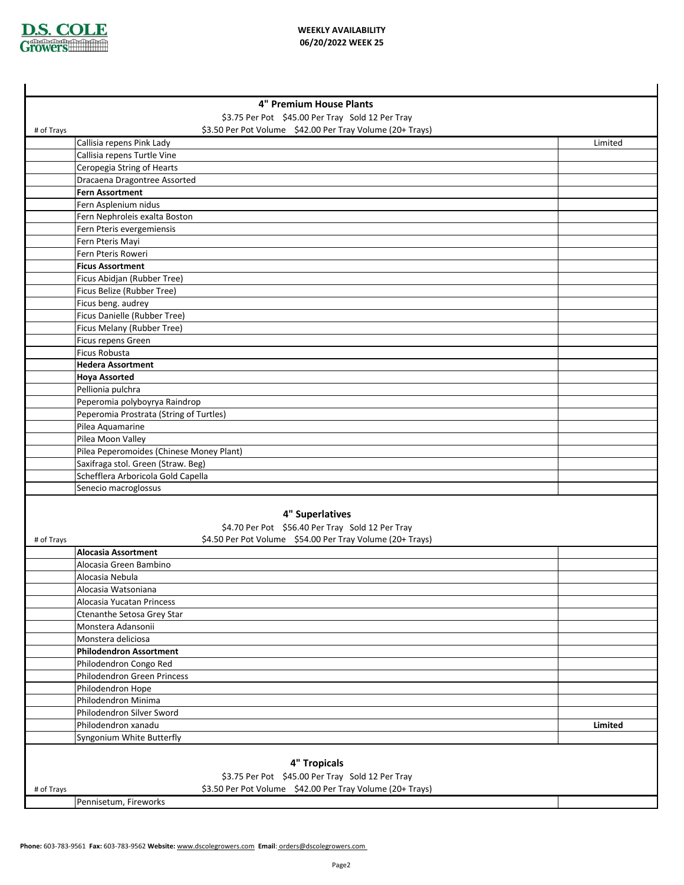

ä.

|            | 4" Premium House Plants                                                          |         |
|------------|----------------------------------------------------------------------------------|---------|
|            | \$3.75 Per Pot \$45.00 Per Tray Sold 12 Per Tray                                 |         |
| # of Trays | \$3.50 Per Pot Volume \$42.00 Per Tray Volume (20+ Trays)                        |         |
|            | Callisia repens Pink Lady                                                        | Limited |
|            | Callisia repens Turtle Vine                                                      |         |
|            | Ceropegia String of Hearts                                                       |         |
|            | Dracaena Dragontree Assorted                                                     |         |
|            | <b>Fern Assortment</b>                                                           |         |
|            | Fern Asplenium nidus                                                             |         |
|            | Fern Nephroleis exalta Boston                                                    |         |
|            | Fern Pteris evergemiensis                                                        |         |
|            | Fern Pteris Mayi                                                                 |         |
|            | Fern Pteris Roweri                                                               |         |
|            | <b>Ficus Assortment</b>                                                          |         |
|            | Ficus Abidjan (Rubber Tree)<br>Ficus Belize (Rubber Tree)                        |         |
|            | Ficus beng. audrey                                                               |         |
|            | Ficus Danielle (Rubber Tree)                                                     |         |
|            | Ficus Melany (Rubber Tree)                                                       |         |
|            | Ficus repens Green                                                               |         |
|            | <b>Ficus Robusta</b>                                                             |         |
|            | <b>Hedera Assortment</b>                                                         |         |
|            | <b>Hoya Assorted</b>                                                             |         |
|            | Pellionia pulchra                                                                |         |
|            | Peperomia polyboyrya Raindrop                                                    |         |
|            | Peperomia Prostrata (String of Turtles)                                          |         |
|            | Pilea Aquamarine                                                                 |         |
|            | Pilea Moon Valley                                                                |         |
|            | Pilea Peperomoides (Chinese Money Plant)                                         |         |
|            | Saxifraga stol. Green (Straw. Beg)                                               |         |
|            | Schefflera Arboricola Gold Capella                                               |         |
|            | Senecio macroglossus                                                             |         |
|            |                                                                                  |         |
|            | 4" Superlatives                                                                  |         |
|            | \$4.70 Per Pot \$56.40 Per Tray Sold 12 Per Tray                                 |         |
| # of Trays | \$4.50 Per Pot Volume \$54.00 Per Tray Volume (20+ Trays)<br>Alocasia Assortment |         |
|            | Alocasia Green Bambino                                                           |         |
|            | Alocasia Nebula                                                                  |         |
|            | Alocasia Watsoniana                                                              |         |
|            | Alocasia Yucatan Princess                                                        |         |
|            | Ctenanthe Setosa Grey Star                                                       |         |
|            | Monstera Adansonii                                                               |         |
|            | Monstera deliciosa                                                               |         |
|            | <b>Philodendron Assortment</b>                                                   |         |
|            | Philodendron Congo Red                                                           |         |
|            | Philodendron Green Princess                                                      |         |
|            | Philodendron Hope                                                                |         |
|            | Philodendron Minima                                                              |         |
|            | Philodendron Silver Sword                                                        |         |
|            | Philodendron xanadu                                                              | Limited |
|            | Syngonium White Butterfly                                                        |         |
|            |                                                                                  |         |
|            | 4" Tropicals                                                                     |         |
|            | \$3.75 Per Pot \$45.00 Per Tray Sold 12 Per Tray                                 |         |
| # of Trays | \$3.50 Per Pot Volume \$42.00 Per Tray Volume (20+ Trays)                        |         |
|            | Pennisetum, Fireworks                                                            |         |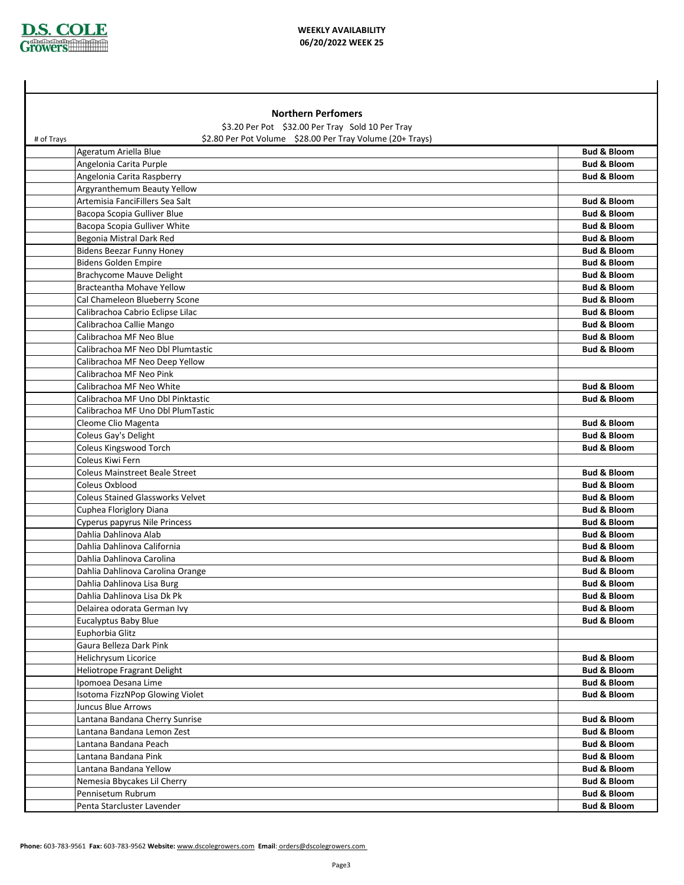

## **WEEKLY AVAILABILITY 06/20/2022 WEEK 25**

|                                                  | <b>Northern Perfomers</b>                                 |                        |
|--------------------------------------------------|-----------------------------------------------------------|------------------------|
| \$3.20 Per Pot \$32.00 Per Tray Sold 10 Per Tray |                                                           |                        |
| # of Trays                                       | \$2.80 Per Pot Volume \$28.00 Per Tray Volume (20+ Trays) |                        |
| Ageratum Ariella Blue                            |                                                           | <b>Bud &amp; Bloom</b> |
| Angelonia Carita Purple                          |                                                           | <b>Bud &amp; Bloom</b> |
| Angelonia Carita Raspberry                       |                                                           | <b>Bud &amp; Bloom</b> |
| Argyranthemum Beauty Yellow                      |                                                           |                        |
| Artemisia FanciFillers Sea Salt                  |                                                           | <b>Bud &amp; Bloom</b> |
| Bacopa Scopia Gulliver Blue                      |                                                           | <b>Bud &amp; Bloom</b> |
| Bacopa Scopia Gulliver White                     |                                                           | <b>Bud &amp; Bloom</b> |
| Begonia Mistral Dark Red                         |                                                           | <b>Bud &amp; Bloom</b> |
| <b>Bidens Beezar Funny Honey</b>                 |                                                           | <b>Bud &amp; Bloom</b> |
| <b>Bidens Golden Empire</b>                      |                                                           | <b>Bud &amp; Bloom</b> |
| <b>Brachycome Mauve Delight</b>                  |                                                           | <b>Bud &amp; Bloom</b> |
| Bracteantha Mohave Yellow                        |                                                           | <b>Bud &amp; Bloom</b> |
| Cal Chameleon Blueberry Scone                    |                                                           | <b>Bud &amp; Bloom</b> |
| Calibrachoa Cabrio Eclipse Lilac                 |                                                           | <b>Bud &amp; Bloom</b> |
| Calibrachoa Callie Mango                         |                                                           | <b>Bud &amp; Bloom</b> |
| Calibrachoa MF Neo Blue                          |                                                           | <b>Bud &amp; Bloom</b> |
| Calibrachoa MF Neo Dbl Plumtastic                |                                                           | <b>Bud &amp; Bloom</b> |
| Calibrachoa MF Neo Deep Yellow                   |                                                           |                        |
| Calibrachoa MF Neo Pink                          |                                                           |                        |
| Calibrachoa MF Neo White                         |                                                           | <b>Bud &amp; Bloom</b> |
| Calibrachoa MF Uno Dbl Pinktastic                |                                                           | <b>Bud &amp; Bloom</b> |
| Calibrachoa MF Uno Dbl PlumTastic                |                                                           |                        |
| Cleome Clio Magenta                              |                                                           | <b>Bud &amp; Bloom</b> |
| Coleus Gay's Delight                             |                                                           | <b>Bud &amp; Bloom</b> |
| Coleus Kingswood Torch                           |                                                           | <b>Bud &amp; Bloom</b> |
| Coleus Kiwi Fern                                 |                                                           |                        |
| <b>Coleus Mainstreet Beale Street</b>            |                                                           | <b>Bud &amp; Bloom</b> |
| Coleus Oxblood                                   |                                                           | <b>Bud &amp; Bloom</b> |
| <b>Coleus Stained Glassworks Velvet</b>          |                                                           | <b>Bud &amp; Bloom</b> |
| Cuphea Floriglory Diana                          |                                                           | <b>Bud &amp; Bloom</b> |
| Cyperus papyrus Nile Princess                    |                                                           | <b>Bud &amp; Bloom</b> |
| Dahlia Dahlinova Alab                            |                                                           | <b>Bud &amp; Bloom</b> |
| Dahlia Dahlinova California                      |                                                           | <b>Bud &amp; Bloom</b> |
| Dahlia Dahlinova Carolina                        |                                                           | <b>Bud &amp; Bloom</b> |
| Dahlia Dahlinova Carolina Orange                 |                                                           | <b>Bud &amp; Bloom</b> |
| Dahlia Dahlinova Lisa Burg                       |                                                           | <b>Bud &amp; Bloom</b> |
| Dahlia Dahlinova Lisa Dk Pk                      |                                                           | <b>Bud &amp; Bloom</b> |
| Delairea odorata German Ivy                      |                                                           | <b>Bud &amp; Bloom</b> |
| Eucalyptus Baby Blue                             |                                                           | <b>Bud &amp; Bloom</b> |
| Euphorbia Glitz                                  |                                                           |                        |
| Gaura Belleza Dark Pink                          |                                                           |                        |
| Helichrysum Licorice                             |                                                           | <b>Bud &amp; Bloom</b> |
| Heliotrope Fragrant Delight                      |                                                           | <b>Bud &amp; Bloom</b> |
| Ipomoea Desana Lime                              |                                                           | <b>Bud &amp; Bloom</b> |
| Isotoma FizzNPop Glowing Violet                  |                                                           | <b>Bud &amp; Bloom</b> |
| Juncus Blue Arrows                               |                                                           |                        |
| Lantana Bandana Cherry Sunrise                   |                                                           | <b>Bud &amp; Bloom</b> |
| Lantana Bandana Lemon Zest                       |                                                           | <b>Bud &amp; Bloom</b> |
| Lantana Bandana Peach                            |                                                           | <b>Bud &amp; Bloom</b> |
| Lantana Bandana Pink                             |                                                           | <b>Bud &amp; Bloom</b> |
| Lantana Bandana Yellow                           |                                                           | <b>Bud &amp; Bloom</b> |
| Nemesia Bbycakes Lil Cherry                      |                                                           | <b>Bud &amp; Bloom</b> |
| Pennisetum Rubrum                                |                                                           | <b>Bud &amp; Bloom</b> |
| Penta Starcluster Lavender                       |                                                           | <b>Bud &amp; Bloom</b> |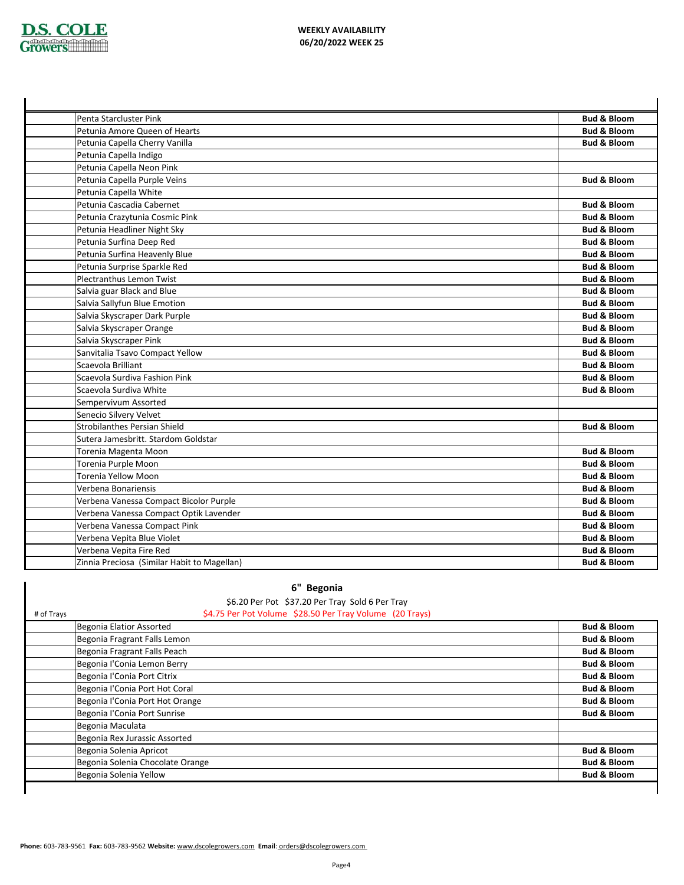

| Penta Starcluster Pink                      | <b>Bud &amp; Bloom</b> |
|---------------------------------------------|------------------------|
| Petunia Amore Queen of Hearts               | <b>Bud &amp; Bloom</b> |
| Petunia Capella Cherry Vanilla              | <b>Bud &amp; Bloom</b> |
| Petunia Capella Indigo                      |                        |
| Petunia Capella Neon Pink                   |                        |
| Petunia Capella Purple Veins                | <b>Bud &amp; Bloom</b> |
| Petunia Capella White                       |                        |
| Petunia Cascadia Cabernet                   | <b>Bud &amp; Bloom</b> |
| Petunia Crazytunia Cosmic Pink              | <b>Bud &amp; Bloom</b> |
| Petunia Headliner Night Sky                 | <b>Bud &amp; Bloom</b> |
| Petunia Surfina Deep Red                    | <b>Bud &amp; Bloom</b> |
| Petunia Surfina Heavenly Blue               | <b>Bud &amp; Bloom</b> |
| Petunia Surprise Sparkle Red                | <b>Bud &amp; Bloom</b> |
| Plectranthus Lemon Twist                    | <b>Bud &amp; Bloom</b> |
| Salvia guar Black and Blue                  | <b>Bud &amp; Bloom</b> |
| Salvia Sallyfun Blue Emotion                | <b>Bud &amp; Bloom</b> |
| Salvia Skyscraper Dark Purple               | <b>Bud &amp; Bloom</b> |
| Salvia Skyscraper Orange                    | <b>Bud &amp; Bloom</b> |
| Salvia Skyscraper Pink                      | <b>Bud &amp; Bloom</b> |
| Sanvitalia Tsavo Compact Yellow             | <b>Bud &amp; Bloom</b> |
| Scaevola Brilliant                          | <b>Bud &amp; Bloom</b> |
| Scaevola Surdiva Fashion Pink               | <b>Bud &amp; Bloom</b> |
| Scaevola Surdiva White                      | <b>Bud &amp; Bloom</b> |
| Sempervivum Assorted                        |                        |
| Senecio Silvery Velvet                      |                        |
| Strobilanthes Persian Shield                | <b>Bud &amp; Bloom</b> |
| Sutera Jamesbritt, Stardom Goldstar         |                        |
| Torenia Magenta Moon                        | <b>Bud &amp; Bloom</b> |
| Torenia Purple Moon                         | <b>Bud &amp; Bloom</b> |
| Torenia Yellow Moon                         | <b>Bud &amp; Bloom</b> |
| Verbena Bonariensis                         | <b>Bud &amp; Bloom</b> |
| Verbena Vanessa Compact Bicolor Purple      | <b>Bud &amp; Bloom</b> |
| Verbena Vanessa Compact Optik Lavender      | <b>Bud &amp; Bloom</b> |
| Verbena Vanessa Compact Pink                | <b>Bud &amp; Bloom</b> |
| Verbena Vepita Blue Violet                  | <b>Bud &amp; Bloom</b> |
| Verbena Vepita Fire Red                     | <b>Bud &amp; Bloom</b> |
| Zinnia Preciosa (Similar Habit to Magellan) | <b>Bud &amp; Bloom</b> |

| \$6.20 Per Pot \$37.20 Per Tray Sold 6 Per Tray                        |                        |
|------------------------------------------------------------------------|------------------------|
| \$4.75 Per Pot Volume \$28.50 Per Tray Volume (20 Trays)<br># of Trays |                        |
| Begonia Elatior Assorted                                               | <b>Bud &amp; Bloom</b> |
| Begonia Fragrant Falls Lemon                                           | <b>Bud &amp; Bloom</b> |
| Begonia Fragrant Falls Peach                                           | <b>Bud &amp; Bloom</b> |
| Begonia l'Conia Lemon Berry                                            | <b>Bud &amp; Bloom</b> |
| Begonia l'Conia Port Citrix                                            | <b>Bud &amp; Bloom</b> |
| Begonia l'Conia Port Hot Coral                                         | <b>Bud &amp; Bloom</b> |
| Begonia l'Conia Port Hot Orange                                        | <b>Bud &amp; Bloom</b> |
| Begonia l'Conia Port Sunrise                                           | <b>Bud &amp; Bloom</b> |
| Begonia Maculata                                                       |                        |
| Begonia Rex Jurassic Assorted                                          |                        |
| Begonia Solenia Apricot                                                | <b>Bud &amp; Bloom</b> |
| Begonia Solenia Chocolate Orange                                       | <b>Bud &amp; Bloom</b> |
| Begonia Solenia Yellow                                                 | <b>Bud &amp; Bloom</b> |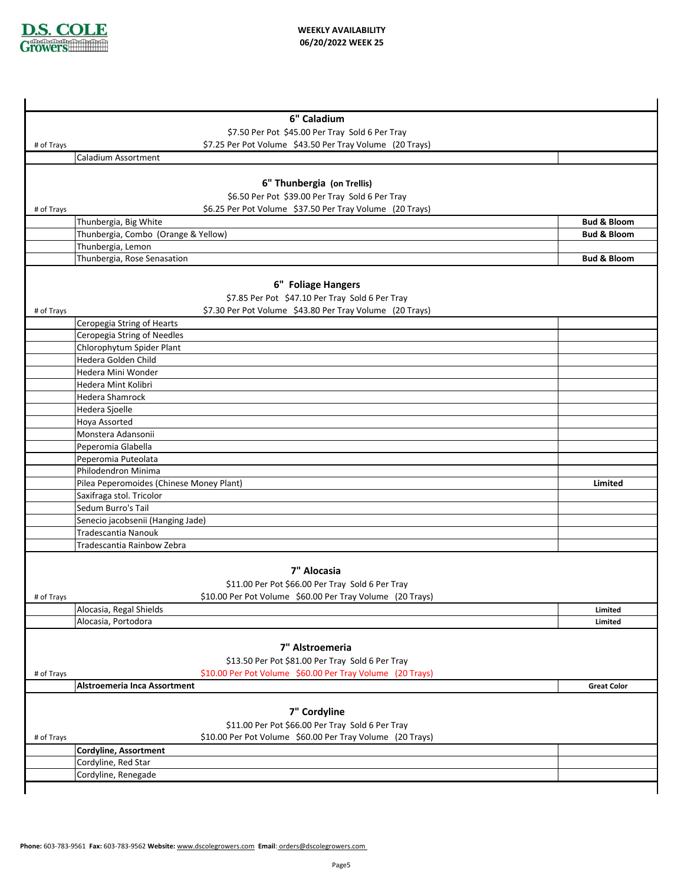

|            | 6" Caladium                                               |                        |  |
|------------|-----------------------------------------------------------|------------------------|--|
|            | \$7.50 Per Pot \$45.00 Per Tray Sold 6 Per Tray           |                        |  |
| # of Trays | \$7.25 Per Pot Volume \$43.50 Per Tray Volume (20 Trays)  |                        |  |
|            | Caladium Assortment                                       |                        |  |
|            |                                                           |                        |  |
|            | 6" Thunbergia (on Trellis)                                |                        |  |
|            | \$6.50 Per Pot \$39.00 Per Tray Sold 6 Per Tray           |                        |  |
| # of Trays | \$6.25 Per Pot Volume \$37.50 Per Tray Volume (20 Trays)  |                        |  |
|            | Thunbergia, Big White                                     | <b>Bud &amp; Bloom</b> |  |
|            | Thunbergia, Combo (Orange & Yellow)                       | <b>Bud &amp; Bloom</b> |  |
|            | Thunbergia, Lemon                                         |                        |  |
|            | Thunbergia, Rose Senasation                               | <b>Bud &amp; Bloom</b> |  |
|            |                                                           |                        |  |
|            | 6" Foliage Hangers                                        |                        |  |
|            | \$7.85 Per Pot \$47.10 Per Tray Sold 6 Per Tray           |                        |  |
| # of Trays | \$7.30 Per Pot Volume \$43.80 Per Tray Volume (20 Trays)  |                        |  |
|            | Ceropegia String of Hearts                                |                        |  |
|            | Ceropegia String of Needles                               |                        |  |
|            | Chlorophytum Spider Plant                                 |                        |  |
|            | Hedera Golden Child                                       |                        |  |
|            | Hedera Mini Wonder                                        |                        |  |
|            | Hedera Mint Kolibri                                       |                        |  |
|            | Hedera Shamrock                                           |                        |  |
|            | Hedera Sjoelle                                            |                        |  |
|            | Hoya Assorted                                             |                        |  |
|            | Monstera Adansonii                                        |                        |  |
|            | Peperomia Glabella                                        |                        |  |
|            | Peperomia Puteolata                                       |                        |  |
|            | Philodendron Minima                                       |                        |  |
|            | Pilea Peperomoides (Chinese Money Plant)                  | Limited                |  |
|            | Saxifraga stol. Tricolor                                  |                        |  |
|            | Sedum Burro's Tail                                        |                        |  |
|            | Senecio jacobsenii (Hanging Jade)                         |                        |  |
|            | Tradescantia Nanouk                                       |                        |  |
|            | Tradescantia Rainbow Zebra                                |                        |  |
|            |                                                           |                        |  |
|            | 7" Alocasia                                               |                        |  |
|            | \$11.00 Per Pot \$66.00 Per Tray Sold 6 Per Tray          |                        |  |
| # of Trays | \$10.00 Per Pot Volume \$60.00 Per Tray Volume (20 Trays) |                        |  |
|            | Alocasia, Regal Shields                                   | Limited                |  |
|            | Alocasia, Portodora                                       | Limited                |  |
|            |                                                           |                        |  |
|            | 7" Alstroemeria                                           |                        |  |
|            | \$13.50 Per Pot \$81.00 Per Tray Sold 6 Per Tray          |                        |  |
| # of Trays | \$10.00 Per Pot Volume \$60.00 Per Tray Volume (20 Trays) |                        |  |
|            | <b>Alstroemeria Inca Assortment</b>                       | <b>Great Color</b>     |  |
|            |                                                           |                        |  |
|            | 7" Cordyline                                              |                        |  |
|            | \$11.00 Per Pot \$66.00 Per Tray Sold 6 Per Tray          |                        |  |
| # of Trays | \$10.00 Per Pot Volume \$60.00 Per Tray Volume (20 Trays) |                        |  |
|            | Cordyline, Assortment                                     |                        |  |
|            | Cordyline, Red Star                                       |                        |  |
|            | Cordyline, Renegade                                       |                        |  |
|            |                                                           |                        |  |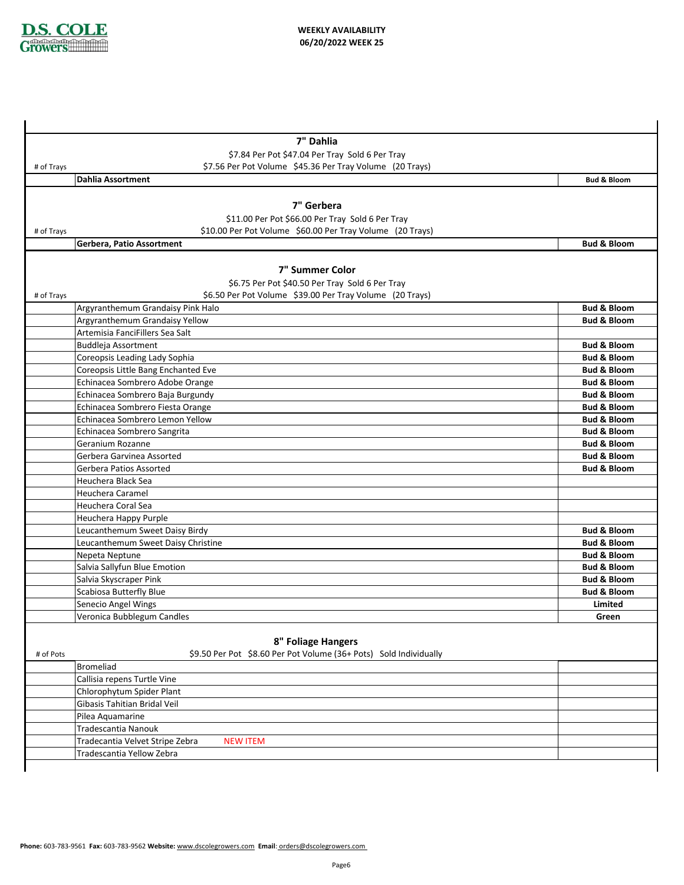

|            | 7" Dahlia                                                         |                                                  |
|------------|-------------------------------------------------------------------|--------------------------------------------------|
|            | \$7.84 Per Pot \$47.04 Per Tray Sold 6 Per Tray                   |                                                  |
| # of Trays | \$7.56 Per Pot Volume \$45.36 Per Tray Volume (20 Trays)          |                                                  |
|            | <b>Dahlia Assortment</b>                                          | <b>Bud &amp; Bloom</b>                           |
|            |                                                                   |                                                  |
|            | 7" Gerbera                                                        |                                                  |
|            | \$11.00 Per Pot \$66.00 Per Tray Sold 6 Per Tray                  |                                                  |
| # of Trays | \$10.00 Per Pot Volume \$60.00 Per Tray Volume (20 Trays)         |                                                  |
|            | Gerbera, Patio Assortment                                         | <b>Bud &amp; Bloom</b>                           |
|            |                                                                   |                                                  |
|            | 7" Summer Color                                                   |                                                  |
|            | \$6.75 Per Pot \$40.50 Per Tray Sold 6 Per Tray                   |                                                  |
| # of Trays | \$6.50 Per Pot Volume \$39.00 Per Tray Volume (20 Trays)          |                                                  |
|            | Argyranthemum Grandaisy Pink Halo                                 | <b>Bud &amp; Bloom</b>                           |
|            | Argyranthemum Grandaisy Yellow                                    | <b>Bud &amp; Bloom</b>                           |
|            | Artemisia FanciFillers Sea Salt                                   |                                                  |
|            | Buddleja Assortment                                               | <b>Bud &amp; Bloom</b>                           |
|            | Coreopsis Leading Lady Sophia                                     | <b>Bud &amp; Bloom</b>                           |
|            | Coreopsis Little Bang Enchanted Eve                               | <b>Bud &amp; Bloom</b>                           |
|            | Echinacea Sombrero Adobe Orange                                   | <b>Bud &amp; Bloom</b>                           |
|            | Echinacea Sombrero Baja Burgundy                                  | <b>Bud &amp; Bloom</b>                           |
|            | Echinacea Sombrero Fiesta Orange                                  | <b>Bud &amp; Bloom</b>                           |
|            | Echinacea Sombrero Lemon Yellow                                   | <b>Bud &amp; Bloom</b>                           |
|            | Echinacea Sombrero Sangrita                                       | <b>Bud &amp; Bloom</b>                           |
|            | Geranium Rozanne                                                  | <b>Bud &amp; Bloom</b>                           |
|            | Gerbera Garvinea Assorted                                         | <b>Bud &amp; Bloom</b>                           |
|            | Gerbera Patios Assorted                                           | <b>Bud &amp; Bloom</b>                           |
|            | Heuchera Black Sea                                                |                                                  |
|            | Heuchera Caramel                                                  |                                                  |
|            | Heuchera Coral Sea                                                |                                                  |
|            | Heuchera Happy Purple                                             |                                                  |
|            | Leucanthemum Sweet Daisy Birdy                                    | <b>Bud &amp; Bloom</b>                           |
|            | Leucanthemum Sweet Daisy Christine<br>Nepeta Neptune              | <b>Bud &amp; Bloom</b><br><b>Bud &amp; Bloom</b> |
|            | Salvia Sallyfun Blue Emotion                                      | <b>Bud &amp; Bloom</b>                           |
|            | Salvia Skyscraper Pink                                            | <b>Bud &amp; Bloom</b>                           |
|            | Scabiosa Butterfly Blue                                           | <b>Bud &amp; Bloom</b>                           |
|            | Senecio Angel Wings                                               | Limited                                          |
|            | Veronica Bubblegum Candles                                        | Green                                            |
|            |                                                                   |                                                  |
|            | 8" Foliage Hangers                                                |                                                  |
| # of Pots  | \$9.50 Per Pot \$8.60 Per Pot Volume (36+ Pots) Sold Individually |                                                  |
|            | Bromeliad                                                         |                                                  |
|            | Callisia repens Turtle Vine                                       |                                                  |
|            | Chlorophytum Spider Plant                                         |                                                  |
|            | Gibasis Tahitian Bridal Veil                                      |                                                  |
|            | Pilea Aquamarine                                                  |                                                  |
|            | Tradescantia Nanouk                                               |                                                  |
|            | Tradecantia Velvet Stripe Zebra<br><b>NEW ITEM</b>                |                                                  |
|            | Tradescantia Yellow Zebra                                         |                                                  |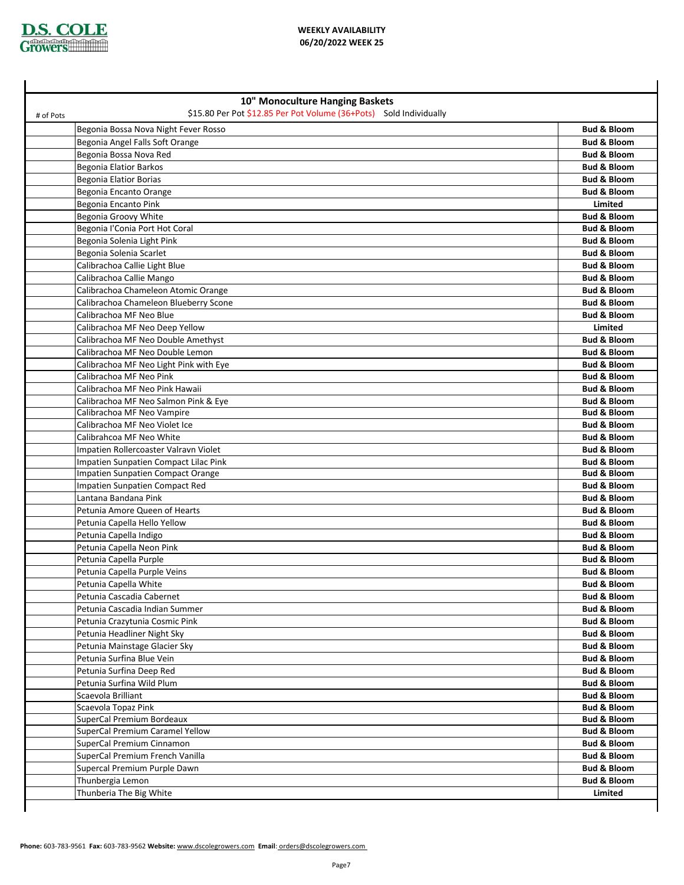

## **WEEKLY AVAILABILITY 06/20/2022 WEEK 25**

| 10" Monoculture Hanging Baskets                                                 |                        |
|---------------------------------------------------------------------------------|------------------------|
| \$15.80 Per Pot \$12.85 Per Pot Volume (36+Pots) Sold Individually<br># of Pots |                        |
| Begonia Bossa Nova Night Fever Rosso                                            | <b>Bud &amp; Bloom</b> |
| Begonia Angel Falls Soft Orange                                                 | <b>Bud &amp; Bloom</b> |
| Begonia Bossa Nova Red                                                          | <b>Bud &amp; Bloom</b> |
| <b>Begonia Elatior Barkos</b>                                                   | <b>Bud &amp; Bloom</b> |
| <b>Begonia Elatior Borias</b>                                                   | <b>Bud &amp; Bloom</b> |
| Begonia Encanto Orange                                                          | <b>Bud &amp; Bloom</b> |
| Begonia Encanto Pink                                                            | Limited                |
| Begonia Groovy White                                                            | <b>Bud &amp; Bloom</b> |
| Begonia l'Conia Port Hot Coral                                                  | <b>Bud &amp; Bloom</b> |
| Begonia Solenia Light Pink                                                      | <b>Bud &amp; Bloom</b> |
| Begonia Solenia Scarlet                                                         | <b>Bud &amp; Bloom</b> |
| Calibrachoa Callie Light Blue                                                   | <b>Bud &amp; Bloom</b> |
| Calibrachoa Callie Mango                                                        | <b>Bud &amp; Bloom</b> |
| Calibrachoa Chameleon Atomic Orange                                             | <b>Bud &amp; Bloom</b> |
| Calibrachoa Chameleon Blueberry Scone                                           | <b>Bud &amp; Bloom</b> |
| Calibrachoa MF Neo Blue                                                         | <b>Bud &amp; Bloom</b> |
| Calibrachoa MF Neo Deep Yellow                                                  | Limited                |
| Calibrachoa MF Neo Double Amethyst                                              | <b>Bud &amp; Bloom</b> |
| Calibrachoa MF Neo Double Lemon                                                 | <b>Bud &amp; Bloom</b> |
| Calibrachoa MF Neo Light Pink with Eye                                          | <b>Bud &amp; Bloom</b> |
| Calibrachoa MF Neo Pink                                                         | <b>Bud &amp; Bloom</b> |
| Calibrachoa MF Neo Pink Hawaii                                                  | <b>Bud &amp; Bloom</b> |
| Calibrachoa MF Neo Salmon Pink & Eye                                            | <b>Bud &amp; Bloom</b> |
| Calibrachoa MF Neo Vampire                                                      | <b>Bud &amp; Bloom</b> |
| Calibrachoa MF Neo Violet Ice                                                   | <b>Bud &amp; Bloom</b> |
| Calibrahcoa MF Neo White                                                        | <b>Bud &amp; Bloom</b> |
| Impatien Rollercoaster Valravn Violet                                           | <b>Bud &amp; Bloom</b> |
| Impatien Sunpatien Compact Lilac Pink                                           | <b>Bud &amp; Bloom</b> |
| Impatien Sunpatien Compact Orange                                               | <b>Bud &amp; Bloom</b> |
| Impatien Sunpatien Compact Red                                                  | <b>Bud &amp; Bloom</b> |
| Lantana Bandana Pink                                                            | <b>Bud &amp; Bloom</b> |
| Petunia Amore Queen of Hearts                                                   | <b>Bud &amp; Bloom</b> |
| Petunia Capella Hello Yellow                                                    | <b>Bud &amp; Bloom</b> |
| Petunia Capella Indigo                                                          | <b>Bud &amp; Bloom</b> |
| Petunia Capella Neon Pink                                                       | <b>Bud &amp; Bloom</b> |
| Petunia Capella Purple                                                          | <b>Bud &amp; Bloom</b> |
| Petunia Capella Purple Veins                                                    | <b>Bud &amp; Bloom</b> |
| Petunia Capella White                                                           | <b>Bud &amp; Bloom</b> |
| Petunia Cascadia Cabernet                                                       | <b>Bud &amp; Bloom</b> |
| Petunia Cascadia Indian Summer                                                  | <b>Bud &amp; Bloom</b> |
| Petunia Crazytunia Cosmic Pink                                                  | Bud & Bloom            |
| Petunia Headliner Night Sky                                                     | <b>Bud &amp; Bloom</b> |
| Petunia Mainstage Glacier Sky                                                   | <b>Bud &amp; Bloom</b> |
| Petunia Surfina Blue Vein                                                       | Bud & Bloom            |
| Petunia Surfina Deep Red                                                        | <b>Bud &amp; Bloom</b> |
| Petunia Surfina Wild Plum                                                       | <b>Bud &amp; Bloom</b> |
| Scaevola Brilliant                                                              | <b>Bud &amp; Bloom</b> |
| Scaevola Topaz Pink                                                             | <b>Bud &amp; Bloom</b> |
| SuperCal Premium Bordeaux                                                       | <b>Bud &amp; Bloom</b> |
| SuperCal Premium Caramel Yellow                                                 | <b>Bud &amp; Bloom</b> |
| SuperCal Premium Cinnamon                                                       | <b>Bud &amp; Bloom</b> |
| SuperCal Premium French Vanilla                                                 | <b>Bud &amp; Bloom</b> |
| Supercal Premium Purple Dawn                                                    | <b>Bud &amp; Bloom</b> |
| Thunbergia Lemon                                                                | <b>Bud &amp; Bloom</b> |
| Thunberia The Big White                                                         | Limited                |